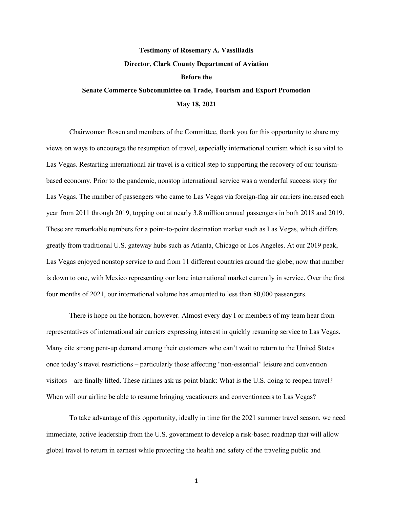## **Testimony of Rosemary A. Vassiliadis Director, Clark County Department of Aviation Before the Senate Commerce Subcommittee on Trade, Tourism and Export Promotion May 18, 2021**

Chairwoman Rosen and members of the Committee, thank you for this opportunity to share my views on ways to encourage the resumption of travel, especially international tourism which is so vital to Las Vegas. Restarting international air travel is a critical step to supporting the recovery of our tourismbased economy. Prior to the pandemic, nonstop international service was a wonderful success story for Las Vegas. The number of passengers who came to Las Vegas via foreign-flag air carriers increased each year from 2011 through 2019, topping out at nearly 3.8 million annual passengers in both 2018 and 2019. These are remarkable numbers for a point-to-point destination market such as Las Vegas, which differs greatly from traditional U.S. gateway hubs such as Atlanta, Chicago or Los Angeles. At our 2019 peak, Las Vegas enjoyed nonstop service to and from 11 different countries around the globe; now that number is down to one, with Mexico representing our lone international market currently in service. Over the first four months of 2021, our international volume has amounted to less than 80,000 passengers.

There is hope on the horizon, however. Almost every day I or members of my team hear from representatives of international air carriers expressing interest in quickly resuming service to Las Vegas. Many cite strong pent-up demand among their customers who can't wait to return to the United States once today's travel restrictions – particularly those affecting "non-essential" leisure and convention visitors – are finally lifted. These airlines ask us point blank: What is the U.S. doing to reopen travel? When will our airline be able to resume bringing vacationers and conventioneers to Las Vegas?

To take advantage of this opportunity, ideally in time for the 2021 summer travel season, we need immediate, active leadership from the U.S. government to develop a risk-based roadmap that will allow global travel to return in earnest while protecting the health and safety of the traveling public and

1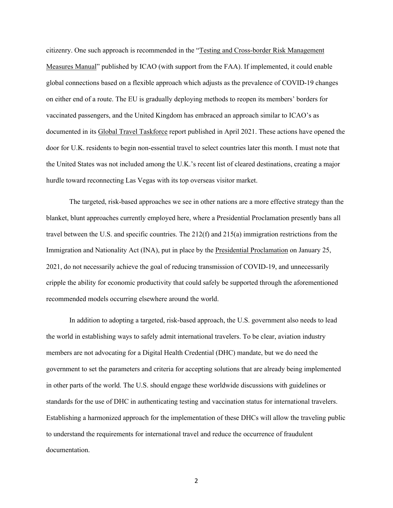citizenry. One such approach is recommended in the "Testing and Cross-border Risk Management Measures Manual" published by ICAO (with support from the FAA). If implemented, it could enable global connections based on a flexible approach which adjusts as the prevalence of COVID-19 changes on either end of a route. The EU is gradually deploying methods to reopen its members' borders for vaccinated passengers, and the United Kingdom has embraced an approach similar to ICAO's as documented in its Global Travel Taskforce report published in April 2021. These actions have opened the door for U.K. residents to begin non-essential travel to select countries later this month. I must note that the United States was not included among the U.K.'s recent list of cleared destinations, creating a major hurdle toward reconnecting Las Vegas with its top overseas visitor market.

The targeted, risk-based approaches we see in other nations are a more effective strategy than the blanket, blunt approaches currently employed here, where a Presidential Proclamation presently bans all travel between the U.S. and specific countries. The 212(f) and 215(a) immigration restrictions from the Immigration and Nationality Act (INA), put in place by the Presidential Proclamation on January 25, 2021, do not necessarily achieve the goal of reducing transmission of COVID-19, and unnecessarily cripple the ability for economic productivity that could safely be supported through the aforementioned recommended models occurring elsewhere around the world.

In addition to adopting a targeted, risk-based approach, the U.S. government also needs to lead the world in establishing ways to safely admit international travelers. To be clear, aviation industry members are not advocating for a Digital Health Credential (DHC) mandate, but we do need the government to set the parameters and criteria for accepting solutions that are already being implemented in other parts of the world. The U.S. should engage these worldwide discussions with guidelines or standards for the use of DHC in authenticating testing and vaccination status for international travelers. Establishing a harmonized approach for the implementation of these DHCs will allow the traveling public to understand the requirements for international travel and reduce the occurrence of fraudulent documentation.

2